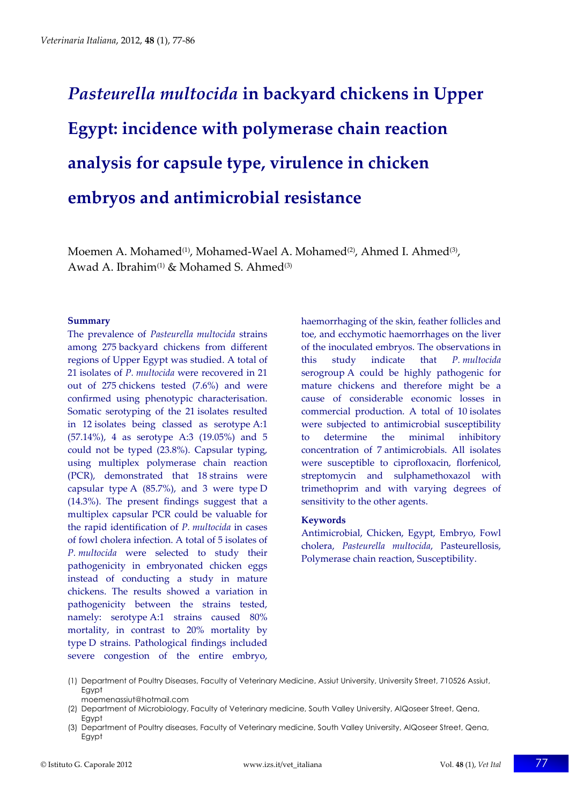# *Pasteurella multocida* **in backyard chickens in Upper Egypt: incidence with polymerase chain reaction analysis for capsule type, virulence in chicken embryos and antimicrobial resistance**

Moemen A. Mohamed<sup>(1)</sup>, Mohamed-Wael A. Mohamed<sup>(2)</sup>, Ahmed I. Ahmed<sup>(3)</sup>, Awad A. Ibrahim<sup>(1)</sup> & Mohamed S. Ahmed<sup>(3)</sup>

#### **Summary**

The prevalence of *Pasteurella multocida* strains among 275 backyard chickens from different regions of Upper Egypt was studied. A total of 21 isolates of *P. multocida* were recovered in 21 out of 275 chickens tested (7.6%) and were confirmed using phenotypic characterisation. Somatic serotyping of the 21 isolates resulted in 12 isolates being classed as serotype A:1 (57.14%), 4 as serotype A:3 (19.05%) and 5 could not be typed (23.8%). Capsular typing, using multiplex polymerase chain reaction (PCR), demonstrated that 18 strains were capsular type A (85.7%), and 3 were type D (14.3%). The present findings suggest that a multiplex capsular PCR could be valuable for the rapid identification of *P. multocida* in cases of fowl cholera infection. A total of 5 isolates of *P. multocida* were selected to study their pathogenicity in embryonated chicken eggs instead of conducting a study in mature chickens. The results showed a variation in pathogenicity between the strains tested, namely: serotype A:1 strains caused 80% mortality, in contrast to 20% mortality by type D strains. Pathological findings included severe congestion of the entire embryo,

haemorrhaging of the skin, feather follicles and toe, and ecchymotic haemorrhages on the liver of the inoculated embryos. The observations in this study indicate that *P. multocida* serogroup A could be highly pathogenic for mature chickens and therefore might be a cause of considerable economic losses in commercial production. A total of 10 isolates were subjected to antimicrobial susceptibility to determine the minimal inhibitory concentration of 7 antimicrobials. All isolates were susceptible to ciprofloxacin, florfenicol, streptomycin and sulphamethoxazol with trimethoprim and with varying degrees of sensitivity to the other agents.

#### **Keywords**

Antimicrobial, Chicken, Egypt, Embryo, Fowl cholera, *Pasteurella multocida*, Pasteurellosis, Polymerase chain reaction, Susceptibility.

- (1) Department of Poultry Diseases, Faculty of Veterinary Medicine, Assiut University, University Street, 710526 Assiut, Egypt moemenassiut@hotmail.com
- (2) Department of Microbiology, Faculty of Veterinary medicine, South Valley University, AlQoseer Street, Qena, **Eavpt**
- (3) Department of Poultry diseases, Faculty of Veterinary medicine, South Valley University, AlQoseer Street, Qena, Egypt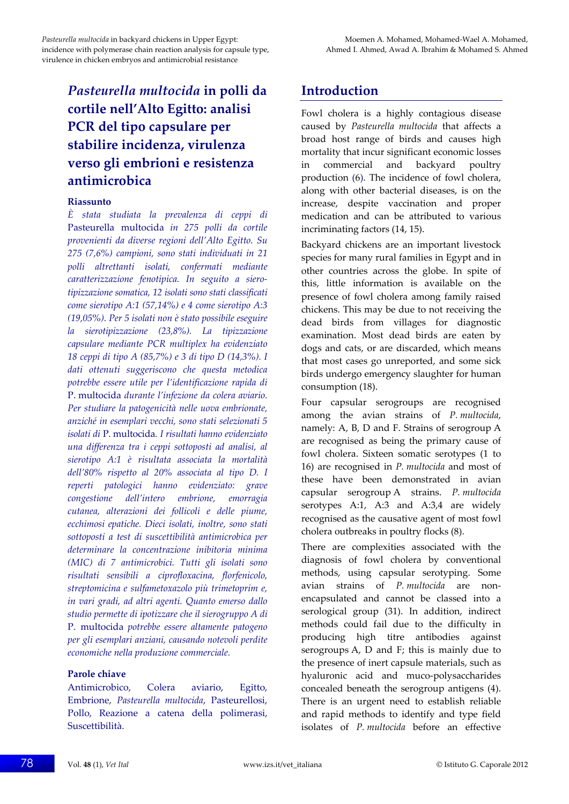# *Pasteurella multocida* **in polli da cortile nell'Alto Egitto: analisi PCR del tipo capsulare per stabilire incidenza, virulenza verso gli embrioni e resistenza antimicrobica**

#### **Riassunto**

*È stata studiata la prevalenza di ceppi di* Pasteurella multocida *in 275 polli da cortile provenienti da diverse regioni dell'Alto Egitto. Su 275 (7,6%) campioni, sono stati individuati in 21 polli altrettanti isolati, confermati mediante caratterizzazione fenotipica. In seguito a siero‐ tipizzazione somatica, 12 isolati sono stati classificati come sierotipo A:1 (57,14%) e 4 come sierotipo A:3 (19,05%). Per 5 isolati non è stato possibile eseguire la sierotipizzazione (23,8%). La tipizzazione capsulare mediante PCR multiplex ha evidenziato 18 ceppi di tipo A (85,7%) e 3 di tipo D (14,3%). I dati ottenuti suggeriscono che questa metodica potrebbe essere utile per l'identificazione rapida di* P. multocida *durante l'infezione da colera aviario. Per studiare la patogenicità nelle uova embrionate, anziché in esemplari vecchi, sono stati selezionati 5 isolati di* P. multocida*. I risultati hanno evidenziato una differenza tra i ceppi sottoposti ad analisi, al sierotipo A:1 è risultata associata la mortalità dell'80% rispetto al 20% associata al tipo D. I reperti patologici hanno evidenziato: grave congestione dell'intero embrione, emorragia cutanea, alterazioni dei follicoli e delle piume, ecchimosi epatiche. Dieci isolati, inoltre, sono stati sottoposti a test di suscettibilità antimicrobica per determinare la concentrazione inibitoria minima (MIC) di 7 antimicrobici. Tutti gli isolati sono risultati sensibili a ciprofloxacina, florfenicolo, streptomicina e sulfametoxazolo più trimetoprim e, in vari gradi, ad altri agenti. Quanto emerso dallo studio permette di ipotizzare che il sierogruppo A di* P. multocida *potrebbe essere altamente patogeno per gli esemplari anziani, causando notevoli perdite economiche nella produzione commerciale.*

#### **Parole chiave**

Antimicrobico, Colera aviario, Egitto, Embrione, *Pasteurella multocida*, Pasteurellosi, Pollo, Reazione a catena della polimerasi, Suscettibilità.

# **Introduction**

Fowl cholera is a highly contagious disease caused by *Pasteurella multocida* that affects a broad host range of birds and causes high mortality that incur significant economic losses in commercial and backyard poultry production (6). The incidence of fowl cholera, along with other bacterial diseases, is on the increase, despite vaccination and proper medication and can be attributed to various incriminating factors (14, 15).

Backyard chickens are an important livestock species for many rural families in Egypt and in other countries across the globe. In spite of this, little information is available on the presence of fowl cholera among family raised chickens. This may be due to not receiving the dead birds from villages for diagnostic examination. Most dead birds are eaten by dogs and cats, or are discarded, which means that most cases go unreported, and some sick birds undergo emergency slaughter for human consumption (18).

Four capsular serogroups are recognised among the avian strains of *P. multocida*, namely: A, B, D and F. Strains of serogroup A are recognised as being the primary cause of fowl cholera. Sixteen somatic serotypes (1 to 16) are recognised in *P. multocida* and most of these have been demonstrated in avian capsular serogroup A strains. *P. multocida* serotypes A:1, A:3 and A:3,4 are widely recognised as the causative agent of most fowl cholera outbreaks in poultry flocks (8).

There are complexities associated with the diagnosis of fowl cholera by conventional methods, using capsular serotyping. Some avian strains of *P. multocida* are non‐ encapsulated and cannot be classed into a serological group (31). In addition, indirect methods could fail due to the difficulty in producing high titre antibodies against serogroups A, D and F; this is mainly due to the presence of inert capsule materials, such as hyaluronic acid and muco‐polysaccharides concealed beneath the serogroup antigens (4). There is an urgent need to establish reliable and rapid methods to identify and type field isolates of *P. multocida* before an effective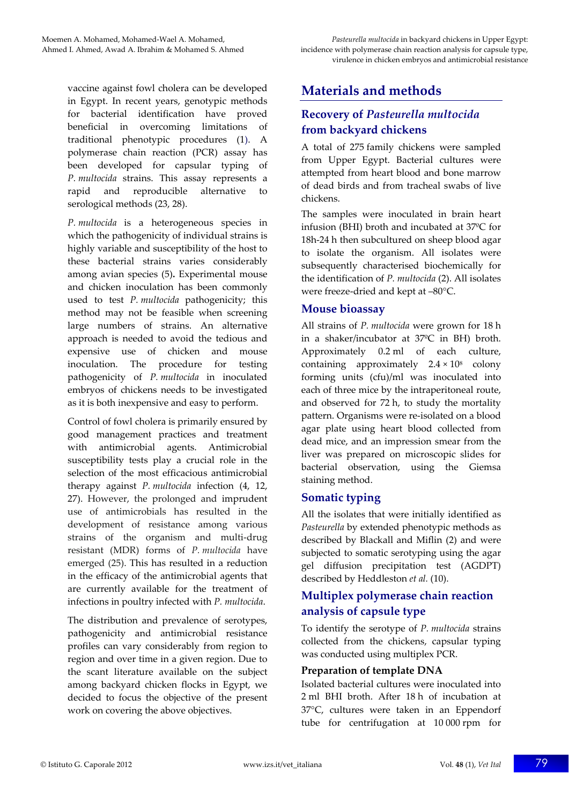vaccine against fowl cholera can be developed in Egypt. In recent years, genotypic methods for bacterial identification have proved beneficial in overcoming limitations of traditional phenotypic procedures (1). A polymerase chain reaction (PCR) assay has been developed for capsular typing of *P. multocida* strains. This assay represents a rapid and reproducible alternative to serological methods (23, 28).

*P. multocida* is a heterogeneous species in which the pathogenicity of individual strains is highly variable and susceptibility of the host to these bacterial strains varies considerably among avian species (5)**.** Experimental mouse and chicken inoculation has been commonly used to test *P. multocida* pathogenicity; this method may not be feasible when screening large numbers of strains. An alternative approach is needed to avoid the tedious and expensive use of chicken and mouse inoculation. The procedure for testing pathogenicity of *P. multocida* in inoculated embryos of chickens needs to be investigated as it is both inexpensive and easy to perform.

Control of fowl cholera is primarily ensured by good management practices and treatment with antimicrobial agents. Antimicrobial susceptibility tests play a crucial role in the selection of the most efficacious antimicrobial therapy against *P. multocida* infection (4, 12, 27). However, the prolonged and imprudent use of antimicrobials has resulted in the development of resistance among various strains of the organism and multi-drug resistant (MDR) forms of *P. multocida* have emerged (25). This has resulted in a reduction in the efficacy of the antimicrobial agents that are currently available for the treatment of infections in poultry infected with *P. multocida*.

The distribution and prevalence of serotypes, pathogenicity and antimicrobial resistance profiles can vary considerably from region to region and over time in a given region. Due to the scant literature available on the subject among backyard chicken flocks in Egypt, we decided to focus the objective of the present work on covering the above objectives.

# **Materials and methods**

## **Recovery of** *Pasteurella multocida* **from backyard chickens**

A total of 275 family chickens were sampled from Upper Egypt. Bacterial cultures were attempted from heart blood and bone marrow of dead birds and from tracheal swabs of live chickens.

The samples were inoculated in brain heart infusion (BHI) broth and incubated at 37ºC for 18h-24 h then subcultured on sheep blood agar to isolate the organism. All isolates were subsequently characterised biochemically for the identification of *P. multocida* (2). All isolates were freeze-dried and kept at -80°C.

## **Mouse bioassay**

All strains of *P. multocida* were grown for 18 h in a shaker/incubator at 37ºC in BH) broth. Approximately 0.2 ml of each culture, containing approximately  $2.4 \times 10^8$  colony forming units (cfu)/ml was inoculated into each of three mice by the intraperitoneal route, and observed for 72 h, to study the mortality pattern. Organisms were re‐isolated on a blood agar plate using heart blood collected from dead mice, and an impression smear from the liver was prepared on microscopic slides for bacterial observation, using the Giemsa staining method.

## **Somatic typing**

All the isolates that were initially identified as *Pasteurella* by extended phenotypic methods as described by Blackall and Miflin (2) and were subjected to somatic serotyping using the agar gel diffusion precipitation test (AGDPT) described by Heddleston *et al.* (10).

## **Multiplex polymerase chain reaction analysis of capsule type**

To identify the serotype of *P. multocida* strains collected from the chickens, capsular typing was conducted using multiplex PCR.

#### **Preparation of template DNA**

Isolated bacterial cultures were inoculated into 2 ml BHI broth. After 18 h of incubation at 37°C, cultures were taken in an Eppendorf tube for centrifugation at 10 000 rpm for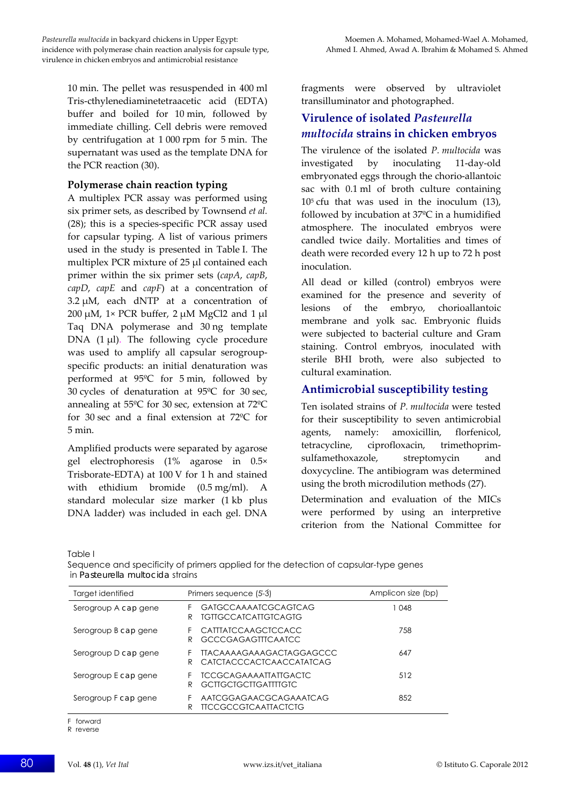10 min. The pellet was resuspended in 400 ml Tris‐cthylenediaminetetraacetic acid (EDTA) buffer and boiled for 10 min, followed by immediate chilling. Cell debris were removed by centrifugation at 1 000 rpm for 5 min. The supernatant was used as the template DNA for the PCR reaction (30).

#### **Polymerase chain reaction typing**

A multiplex PCR assay was performed using six primer sets, as described by Townsend *et al.* (28); this is a species‐specific PCR assay used for capsular typing. A list of various primers used in the study is presented in Table I. The multiplex PCR mixture of 25 μl contained each primer within the six primer sets (*capA*, *capB*, *capD*, *capE* and *capF*) at a concentration of 3.2 μM, each dNTP at a concentration of 200 μM, 1× PCR buffer, 2 μM MgCl2 and 1 μl Taq DNA polymerase and 30 ng template DNA  $(1 \mu l)$ . The following cycle procedure was used to amplify all capsular serogroup‐ specific products: an initial denaturation was performed at 95ºC for 5 min, followed by 30 cycles of denaturation at 95ºC for 30 sec, annealing at 55ºC for 30 sec, extension at 72ºC for 30 sec and a final extension at 72ºC for 5 min.

Amplified products were separated by agarose gel electrophoresis (1% agarose in 0.5× Trisborate‐EDTA) at 100 V for 1 h and stained with ethidium bromide (0.5 mg/ml). A standard molecular size marker (1 kb plus DNA ladder) was included in each gel. DNA fragments were observed by ultraviolet transilluminator and photographed.

## **Virulence of isolated** *Pasteurella multocida* **strains in chicken embryos**

The virulence of the isolated *P. multocida* was investigated by inoculating 11‐day‐old embryonated eggs through the chorio‐allantoic sac with 0.1 ml of broth culture containing  $10<sup>5</sup>$  cfu that was used in the inoculum (13), followed by incubation at 37ºC in a humidified atmosphere. The inoculated embryos were candled twice daily. Mortalities and times of death were recorded every 12 h up to 72 h post inoculation.

All dead or killed (control) embryos were examined for the presence and severity of lesions of the embryo, chorioallantoic membrane and yolk sac. Embryonic fluids were subjected to bacterial culture and Gram staining. Control embryos, inoculated with sterile BHI broth, were also subjected to cultural examination.

## **Antimicrobial susceptibility testing**

Ten isolated strains of *P. multocida* were tested for their susceptibility to seven antimicrobial agents, namely: amoxicillin, florfenicol, tetracycline, ciprofloxacin, trimethoprim‐ sulfamethoxazole, streptomycin and doxycycline. The antibiogram was determined using the broth microdilution methods (27).

Determination and evaluation of the MICs were performed by using an interpretive criterion from the National Committee for

Table I

| Target identified    | Primers sequence (5-3)                                                       | Amplicon size (bp) |
|----------------------|------------------------------------------------------------------------------|--------------------|
| Serogroup A cap gene | GAIGCCAAAAICGCAGICAG<br><b>IGIIGCCAICAIIGICAGIG</b><br>R                     | 1 048              |
| Serogroup B cap gene | <b>CATTIATCCAAGCICCACC</b><br>F<br>GCCCGAGAGITICAAICC<br>R                   | 758                |
| Serogroup D cap gene | <b>TIACAAAAGAAAGACIAGGAGCCC</b><br>CATCTACCCACTCAACCATATCAG<br>R             | 647                |
| Serogroup E cap gene | <b><i>TCCGCAGAAAATTATTGACTC</i></b><br>F<br><b>GCTTGCTGCTTGATTTTGTC</b><br>R | 512                |
| Serogroup F cap gene | AATCGGAGAACGCAGAAATCAG<br>F<br><b>TICCGCCGICAATTACICIG</b><br>R              | 852                |

Sequence and specificity of primers applied for the detection of capsular-type genes in *Pasteurella multocida* strains

F forward

R reverse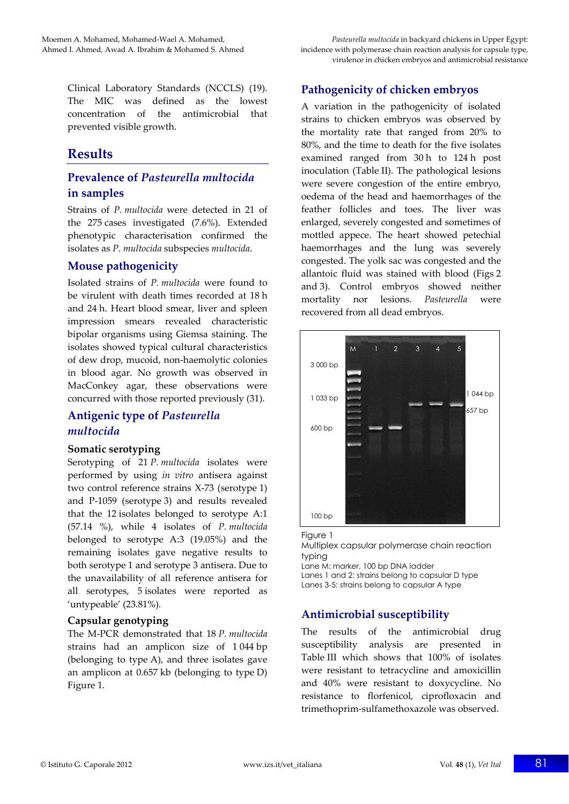Clinical Laboratory Standards (NCCLS) (19). The MIC was defined as the lowest concentration of the antimicrobial that prevented visible growth.

## **Results**

## **Prevalence of** *Pasteurella multocida* **in samples**

Strains of *P. multocida* were detected in 21 of the 275 cases investigated (7.6%). Extended phenotypic characterisation confirmed the isolates as *P. multocida* subspecies *multocida*.

#### **Mouse pathogenicity**

Isolated strains of *P. multocida* were found to be virulent with death times recorded at 18 h and 24 h. Heart blood smear, liver and spleen impression smears revealed characteristic bipolar organisms using Giemsa staining. The isolates showed typical cultural characteristics of dew drop, mucoid, non‐haemolytic colonies in blood agar. No growth was observed in MacConkey agar, these observations were concurred with those reported previously (31).

## **Antigenic type of** *Pasteurella multocida*

#### **Somatic serotyping**

Serotyping of 21 *P. multocida* isolates were performed by using *in vitro* antisera against two control reference strains X‐73 (serotype 1) and P‐1059 (serotype 3) and results revealed that the 12 isolates belonged to serotype A:1 (57.14 %), while 4 isolates of *P. multocida* belonged to serotype A:3 (19.05%) and the remaining isolates gave negative results to both serotype 1 and serotype 3 antisera. Due to the unavailability of all reference antisera for all serotypes, 5 isolates were reported as 'untypeable' (23.81%)*.*

#### **Capsular genotyping**

The M‐PCR demonstrated that 18 *P. multocida* strains had an amplicon size of 1 044 bp (belonging to type A), and three isolates gave an amplicon at 0.657 kb (belonging to type D) Figure 1.

#### **Pathogenicity of chicken embryos**

A variation in the pathogenicity of isolated strains to chicken embryos was observed by the mortality rate that ranged from 20% to 80%, and the time to death for the five isolates examined ranged from 30 h to 124 h post inoculation (Table II). The pathological lesions were severe congestion of the entire embryo, oedema of the head and haemorrhages of the feather follicles and toes. The liver was enlarged, severely congested and sometimes of mottled appece. The heart showed petechial haemorrhages and the lung was severely congested. The yolk sac was congested and the allantoic fluid was stained with blood (Figs 2 and 3). Control embryos showed neither mortality nor lesions. *Pasteurella* were recovered from all dead embryos.



Figure 1

Multiplex capsular polymerase chain reaction typing Lane M: marker, 100 bp DNA ladder

Lanes 1 and 2: strains belong to capsular D type Lanes 3-5: strains belong to capsular A type

## **Antimicrobial susceptibility**

The results of the antimicrobial drug susceptibility analysis are presented in Table III which shows that 100% of isolates were resistant to tetracycline and amoxicillin and 40% were resistant to doxycycline. No resistance to florfenicol, ciprofloxacin and trimethoprim‐sulfamethoxazole was observed.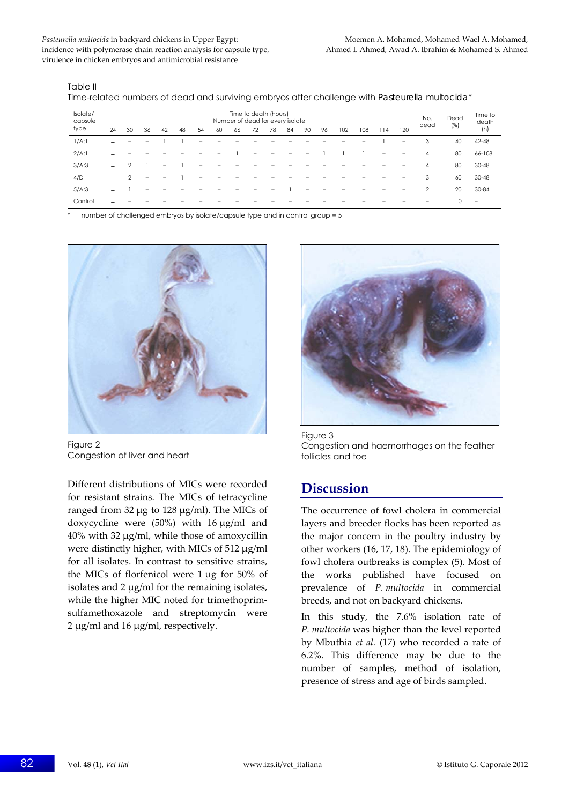Pasteurella *multocida* in backyard chickens in Upper Egypt: Moemen A. Mohamed, Mohamed, Mohamed<sub>•</sub> Mohamed, Mohamed, Mohamed, Mohamed, Mohamed, Mohamed, Mohamed, Mohamed, Mohamed, Mohamed, Mohamed, Mohamed, Mohamed, Moham incidence with polymerase chain reaction analysis for capsule type, Ahmed I. Ahmed I. Ahmed, Awad A. Ibrahim & Mohamed S. Ahmed virulence in chicken embryos and antimicrobial resistance

Table II

| Time-related numbers of dead and surviving embryos after challenge with Pasteurella multocida* |  |  |  |
|------------------------------------------------------------------------------------------------|--|--|--|
|                                                                                                |  |  |  |

| Isolate/<br>capsule |                   | Time to death (hours)<br>Number of dead for every isolate |    |          |                                                                         |     |      |     |     |  |  |  |  |  |  |   | No. | Dead           | Time to<br>death |                   |
|---------------------|-------------------|-----------------------------------------------------------|----|----------|-------------------------------------------------------------------------|-----|------|-----|-----|--|--|--|--|--|--|---|-----|----------------|------------------|-------------------|
| type                | 24                | 30                                                        | 36 | 42       | 54<br>72<br>78<br>90<br>96<br>102<br>108<br>48<br>60<br>84<br>114<br>66 | 120 | dead | (%) | (h) |  |  |  |  |  |  |   |     |                |                  |                   |
| 1/A:1               | $\qquad \qquad =$ | -                                                         |    |          |                                                                         | -   |      |     |     |  |  |  |  |  |  |   | -   | 3              | 40               | 42-48             |
| 2/A:1               |                   |                                                           |    |          |                                                                         |     |      |     |     |  |  |  |  |  |  | - |     | 4              | 80               | 66-108            |
| 3/A:3               | $\equiv$          | $\mathfrak{D}$                                            |    | $\equiv$ |                                                                         |     |      |     |     |  |  |  |  |  |  |   |     | 4              | 80               | $30 - 48$         |
| 4/D                 | $\equiv$          | $\Omega$                                                  |    |          |                                                                         |     |      |     |     |  |  |  |  |  |  |   |     | 3              | 60               | $30 - 48$         |
| 5/A:3               |                   |                                                           |    |          |                                                                         |     |      |     |     |  |  |  |  |  |  |   |     | $\overline{2}$ | 20               | $30 - 84$         |
| Control             |                   |                                                           |    |          |                                                                         |     |      |     |     |  |  |  |  |  |  |   |     |                | $\Omega$         | $\qquad \qquad =$ |

number of challenged embryos by isolate/capsule type and in control group = 5



Figure 2 Congestion of liver and heart

Different distributions of MICs were recorded for resistant strains. The MICs of tetracycline ranged from 32 μg to 128 μg/ml). The MICs of doxycycline were (50%) with 16 μg/ml and 40% with 32 μg/ml, while those of amoxycillin were distinctly higher, with MICs of 512 μg/ml for all isolates. In contrast to sensitive strains, the MICs of florfenicol were 1 μg for 50% of isolates and 2 μg/ml for the remaining isolates, while the higher MIC noted for trimethoprimsulfamethoxazole and streptomycin were 2 μg/ml and 16 μg/ml, respectively.



Figure 3 Congestion and haemorrhages on the feather follicles and toe

## **Discussion**

The occurrence of fowl cholera in commercial layers and breeder flocks has been reported as the major concern in the poultry industry by other workers (16, 17, 18). The epidemiology of fowl cholera outbreaks is complex (5). Most of the works published have focused on prevalence of *P. multocida* in commercial breeds, and not on backyard chickens.

In this study, the 7.6% isolation rate of *P. multocida* was higher than the level reported by Mbuthia *et al.* (17) who recorded a rate of 6.2%. This difference may be due to the number of samples, method of isolation, presence of stress and age of birds sampled.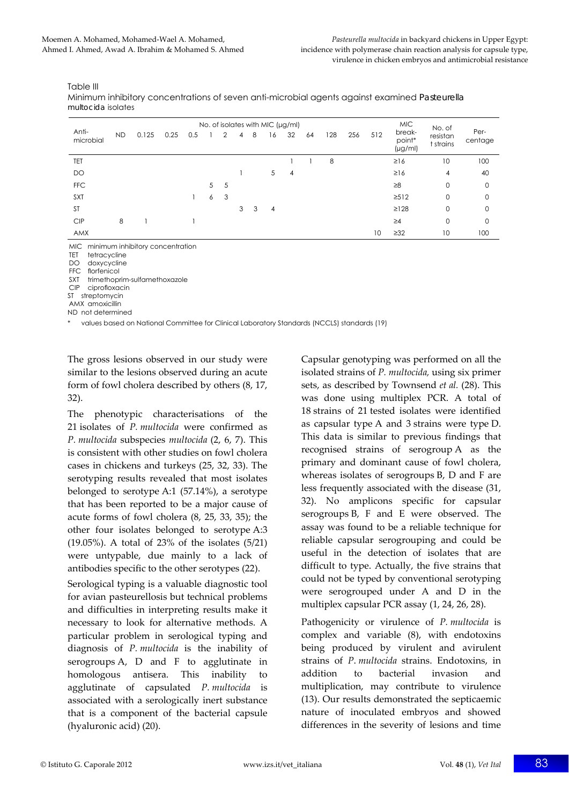Table III

Minimum inhibitory concentrations of seven anti-microbial agents against examined *Pasteurella multocida* isolates

| No. of isolates with MIC $(\mu g/ml)$ |    |       |      |     |   |   |   |   |    |    |    |     |     | <b>MIC</b> | No. of                           |                       |                 |
|---------------------------------------|----|-------|------|-----|---|---|---|---|----|----|----|-----|-----|------------|----------------------------------|-----------------------|-----------------|
| Anti-<br>microbial                    | ND | 0.125 | 0.25 | 0.5 |   |   | 4 | 8 | 16 | 32 | 64 | 128 | 256 | 512        | break-<br>point*<br>$(\mu g/ml)$ | resistan<br>t strains | Per-<br>centage |
| TET                                   |    |       |      |     |   |   |   |   |    |    |    | 8   |     |            | $\geq$ 16                        | 10                    | 100             |
| DO                                    |    |       |      |     |   |   |   |   | 5  | 4  |    |     |     |            | $\geq$ 16                        | 4                     | 40              |
| <b>FFC</b>                            |    |       |      |     | 5 | 5 |   |   |    |    |    |     |     |            | $\geq 8$                         | $\mathbf 0$           | 0               |
| <b>SXT</b>                            |    |       |      |     | 6 | 3 |   |   |    |    |    |     |     |            | $\geq$ 512                       | $\mathbf 0$           | 0               |
| <b>ST</b>                             |    |       |      |     |   |   | 3 | 3 | 4  |    |    |     |     |            | $\geq$ 128                       | $\mathbf 0$           | $\mathbf 0$     |
| <b>CIP</b>                            | 8  |       |      |     |   |   |   |   |    |    |    |     |     |            | $\geq 4$                         | $\mathbf 0$           | 0               |
| AMX                                   |    |       |      |     |   |   |   |   |    |    |    |     |     | 10         | $\geq$ 32                        | 10                    | 100             |

MIC minimum inhibitory concentration

TET tetracycline

DO doxycycline

FFC florfenicol

SXT trimethoprim-sulfamethoxazole

CIP ciprofloxacin

ST streptomycin AMX amoxicillin

ND not determined

\* values based on National Committee for Clinical Laboratory Standards (NCCLS) standards (19)

The gross lesions observed in our study were similar to the lesions observed during an acute form of fowl cholera described by others (8, 17, 32).

The phenotypic characterisations of the 21 isolates of *P. multocida* were confirmed as *P. multocida* subspecies *multocida* (2, 6, 7). This is consistent with other studies on fowl cholera cases in chickens and turkeys (25, 32, 33). The serotyping results revealed that most isolates belonged to serotype A:1 (57.14%), a serotype that has been reported to be a major cause of acute forms of fowl cholera (8, 25, 33, 35); the other four isolates belonged to serotype A:3 (19.05%). A total of 23% of the isolates (5/21) were untypable, due mainly to a lack of antibodies specific to the other serotypes (22).

Serological typing is a valuable diagnostic tool for avian pasteurellosis but technical problems and difficulties in interpreting results make it necessary to look for alternative methods. A particular problem in serological typing and diagnosis of *P. multocida* is the inability of serogroups A, D and F to agglutinate in homologous antisera. This inability to agglutinate of capsulated *P. multocida* is associated with a serologically inert substance that is a component of the bacterial capsule (hyaluronic acid) (20).

Capsular genotyping was performed on all the isolated strains of *P. multocida,* using six primer sets, as described by Townsend *et al.* (28). This was done using multiplex PCR. A total of 18 strains of 21 tested isolates were identified as capsular type A and 3 strains were type D. This data is similar to previous findings that recognised strains of serogroup A as the primary and dominant cause of fowl cholera, whereas isolates of serogroups B, D and F are less frequently associated with the disease (31, 32). No amplicons specific for capsular serogroups B, F and E were observed. The assay was found to be a reliable technique for reliable capsular serogrouping and could be useful in the detection of isolates that are difficult to type. Actually, the five strains that could not be typed by conventional serotyping were serogrouped under A and D in the multiplex capsular PCR assay (1, 24, 26, 28).

Pathogenicity or virulence of *P. multocida* is complex and variable (8), with endotoxins being produced by virulent and avirulent strains of *P*. *multocida* strains. Endotoxins, in addition to bacterial invasion and multiplication, may contribute to virulence (13). Our results demonstrated the septicaemic nature of inoculated embryos and showed differences in the severity of lesions and time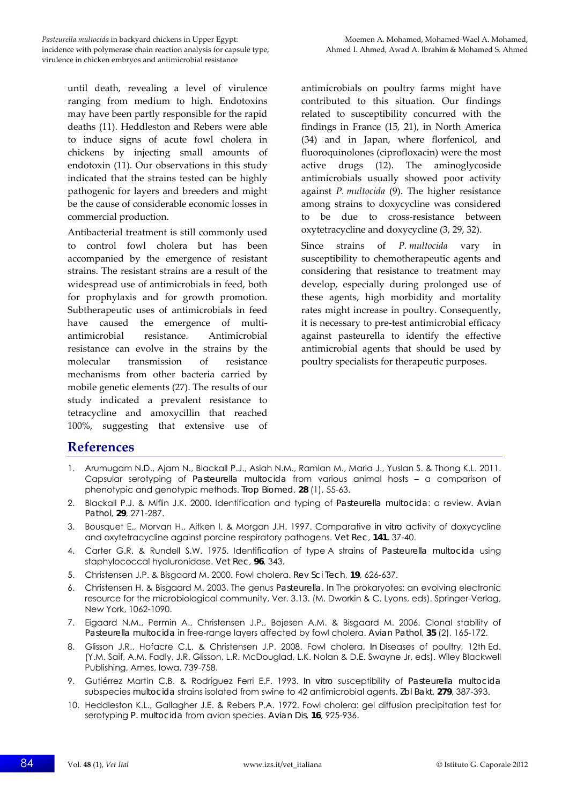until death, revealing a level of virulence ranging from medium to high. Endotoxins may have been partly responsible for the rapid deaths (11). Heddleston and Rebers were able to induce signs of acute fowl cholera in chickens by injecting small amounts of endotoxin (11). Our observations in this study indicated that the strains tested can be highly pathogenic for layers and breeders and might be the cause of considerable economic losses in commercial production.

Antibacterial treatment is still commonly used to control fowl cholera but has been accompanied by the emergence of resistant strains. The resistant strains are a result of the widespread use of antimicrobials in feed, both for prophylaxis and for growth promotion. Subtherapeutic uses of antimicrobials in feed have caused the emergence of multiantimicrobial resistance. Antimicrobial resistance can evolve in the strains by the molecular transmission of resistance mechanisms from other bacteria carried by mobile genetic elements (27). The results of our study indicated a prevalent resistance to tetracycline and amoxycillin that reached 100%, suggesting that extensive use of

antimicrobials on poultry farms might have contributed to this situation. Our findings related to susceptibility concurred with the findings in France (15, 21), in North America (34) and in Japan, where florfenicol, and fluoroquinolones (ciprofloxacin) were the most active drugs (12). The aminoglycoside antimicrobials usually showed poor activity against *P. multocida* (9). The higher resistance among strains to doxycycline was considered to be due to cross‐resistance between oxytetracycline and doxycycline (3, 29, 32).

Since strains of *P. multocida* vary in susceptibility to chemotherapeutic agents and considering that resistance to treatment may develop, especially during prolonged use of these agents, high morbidity and mortality rates might increase in poultry. Consequently, it is necessary to pre‐test antimicrobial efficacy against pasteurella to identify the effective antimicrobial agents that should be used by poultry specialists for therapeutic purposes.

## **References**

- 1. Arumugam N.D., Ajam N., Blackall P.J., Asiah N.M., Ramlan M., Maria J., Yuslan S. & Thong K.L. 2011. Capsular serotyping of *Pasteurella multocida* from various animal hosts – a comparison of phenotypic and genotypic methods. *Trop Biomed*, **28** (1), 55-63.
- 2. Blackall P.J. & Miflin J.K. 2000. Identification and typing of *Pasteurella multocida*: a review. *Avian Pathol*, **29**, 271-287.
- 3. Bousquet E., Morvan H., Aitken I. & Morgan J.H. 1997. Comparative *in vitro* activity of doxycycline and oxytetracycline against porcine respiratory pathogens. *Vet Rec*, **141**, 37-40.
- 4. Carter G.R. & Rundell S.W. 1975. Identification of type A strains of *Pasteurella multocida* using staphylococcal hyaluronidase. *Vet Rec*, **96**, 343.
- 5. Christensen J.P. & Bisgaard M. 2000. Fowl cholera. *Rev Sci Tech*, **19**, 626-637.
- 6. Christensen H. & Bisgaard M. 2003. The genus *Pasteurella*. *In* The prokaryotes: an evolving electronic resource for the microbiological community, Ver. 3.13. (M. Dworkin & C. Lyons, eds). Springer-Verlag, New York, 1062-1090.
- 7. Eigaard N.M., Permin A., Christensen J.P., Bojesen A.M. & Bisgaard M. 2006. Clonal stability of *Pasteurella multocida* in free-range layers affected by fowl cholera. *Avian Pathol*, **35** (2), 165-172.
- 8. Glisson J.R., Hofacre C.L. & Christensen J.P. 2008. Fowl cholera. *In* Diseases of poultry, 12th Ed. (Y.M. Saif, A.M. Fadly, J.R. Glisson, L.R. McDouglad, L.K. Nolan & D.E. Swayne Jr, eds). Wiley Blackwell Publishing, Ames, Iowa, 739-758.
- 9. Gutiérrez Martin C.B. & Rodríguez Ferri E.F. 1993. *In vitro* susceptibility of *Pasteurella multocida* subspecies *multocida* strains isolated from swine to 42 antimicrobial agents. *Zbl Bakt*, **279**, 387-393.
- 10. Heddleston K.L., Gallagher J.E. & Rebers P.A. 1972. Fowl cholera: gel diffusion precipitation test for serotyping *P. multocida* from avian species. *Avian Dis*, **16**, 925-936.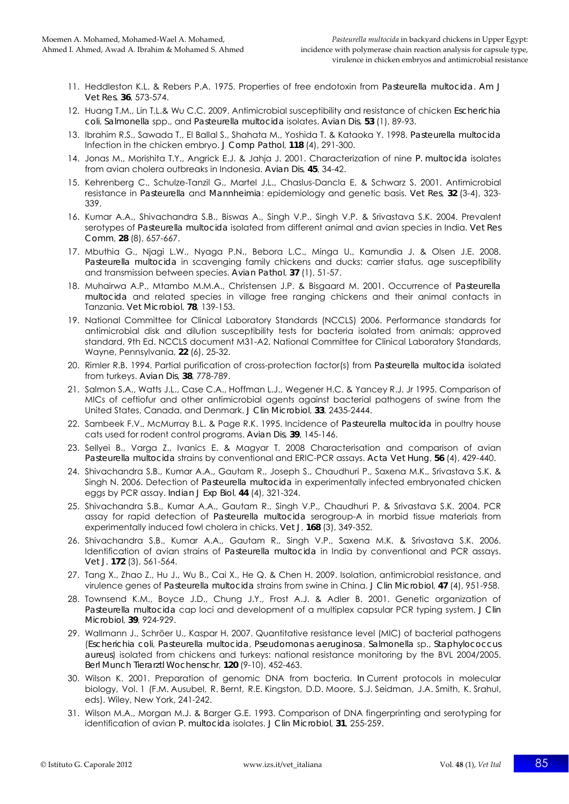- 11. Heddleston K.L. & Rebers P.A. 1975. Properties of free endotoxin from *Pasteurella multocida*. *Am J Vet Res*, **36**, 573-574.
- 12. Huang T.M., Lin T.L.& Wu C.C. 2009. Antimicrobial susceptibility and resistance of chicken *Escherichia coli*, *Salmonella* spp., and *Pasteurella multocida* isolates. *Avian Dis*, **53** (1), 89-93.
- 13. Ibrahim R.S., Sawada T., El Ballal S., Shahata M., Yoshida T. & Kataoka Y. 1998. *Pasteurella multocida*  Infection in the chicken embryo. *J Comp Pathol*, **118** (4), 291-300.
- 14. Jonas M., Morishita T.Y., Angrick E.J. & Jahja J. 2001. Characterization of nine *P. multocida* isolates from avian cholera outbreaks in Indonesia. *Avian Dis*, **45**, 34-42.
- 15. Kehrenberg C., Schulze-Tanzil G., Martel J.L., Chaslus-Dancla E. & Schwarz S. 2001. Antimicrobial resistance in *Pasteurella* and *Mannheimia*: epidemiology and genetic basis. *Vet Res*, **32** (3-4), 323- 339.
- 16. Kumar A.A., Shivachandra S.B., Biswas A., Singh V.P., Singh V.P. & Srivastava S.K. 2004. Prevalent serotypes of *Pasteurella multocida* isolated from different animal and avian species in India. *Vet Res Comm*, **28** (8), 657-667.
- 17. Mbuthia G., Njagi L.W., Nyaga P.N., Bebora L.C., Minga U., Kamundia J. & Olsen J.E. 2008. *Pasteurella multocida* in scavenging family chickens and ducks: carrier status, age susceptibility and transmission between species. *Avian Pathol*, **37** (1), 51-57.
- 18. Muhairwa A.P., Mtambo M.M.A., Christensen J.P. & Bisgaard M. 2001. Occurrence of *Pasteurella multocida* and related species in village free ranging chickens and their animal contacts in Tanzania. *Vet Microbiol*, **78**, 139-153.
- 19. National Committee for Clinical Laboratory Standards (NCCLS) 2006. Performance standards for antimicrobial disk and dilution susceptibility tests for bacteria isolated from animals; approved standard, 9th Ed. NCCLS document M31-A2. National Committee for Clinical Laboratory Standards, Wayne, Pennsylvania, **22** (6), 25-32.
- 20. Rimler R.B. 1994. Partial purification of cross-protection factor(s) from *Pasteurella multocida* isolated from turkeys. *Avian Dis*, **38**, 778-789.
- 21. Salmon S.A., Watts J.L., Case C.A., Hoffman L.J., Wegener H.C. & Yancey R.J. Jr 1995. Comparison of MICs of ceftiofur and other antimicrobial agents against bacterial pathogens of swine from the United States, Canada, and Denmark. *J Clin Microbiol*, **33**, 2435-2444.
- 22. Sambeek F.V., McMurray B.L. & Page R.K. 1995. Incidence of *Pasteurella multocida* in poultry house cats used for rodent control programs. *Avian Dis*, **39**, 145-146.
- 23. Sellyei B., Varga Z., Ivanics E. & Magyar T. 2008 Characterisation and comparison of avian *Pasteurella multocida* strains by conventional and ERIC-PCR assays. *Acta Vet Hung*, **56** (4), 429-440.
- 24. Shivachandra S.B., Kumar A.A., Gautam R., Joseph S., Chaudhuri P., Saxena M.K., Srivastava S.K. & Singh N. 2006. Detection of *Pasteurella multocida* in experimentally infected embryonated chicken eggs by PCR assay. *Indian J Exp Biol*, **44** (4), 321-324.
- 25. Shivachandra S.B., Kumar A.A., Gautam R., Singh V.P., Chaudhuri P. & Srivastava S.K. 2004. PCR assay for rapid detection of *Pasteurella multocida* serogroup-A in morbid tissue materials from experimentally induced fowl cholera in chicks. *Vet J*, **168** (3), 349-352.
- 26. Shivachandra S.B., Kumar A.A., Gautam R., Singh V.P., Saxena M.K. & Srivastava S.K. 2006. Identification of avian strains of *Pasteurella multocida* in India by conventional and PCR assays. *Vet J*, **172** (3), 561-564.
- 27. Tang X., Zhao Z., Hu J., Wu B., Cai X., He Q. & Chen H. 2009. Isolation, antimicrobial resistance, and virulence genes of *Pasteurella multocida* strains from swine in China. *J Clin Microbiol*, **47** (4), 951-958.
- 28. Townsend K.M., Boyce J.D., Chung J.Y., Frost A.J. & Adler B. 2001. Genetic organization of *Pasteurella multocida* cap loci and development of a multiplex capsular PCR typing system. *J Clin Microbiol*, **39**, 924-929.
- 29. Wallmann J., Schröer U., Kaspar H. 2007. Quantitative resistance level (MIC) of bacterial pathogens (*Escherichia coli*, *Pasteurella multocida*, *Pseudomonas aeruginosa*, *Salmonella* sp., *Staphylococcus aureus*) isolated from chickens and turkeys: national resistance monitoring by the BVL 2004/2005. *Berl Munch Tierarztl Wochenschr*, **120** (9-10), 452-463.
- 30. Wilson K. 2001. Preparation of genomic DNA from bacteria. *In* Current protocols in molecular biology, Vol. 1 (F.M. Ausubel, R. Bernt, R.E. Kingston, D.D. Moore, S.J. Seidman, J.A. Smith, K. Srahul, eds). Wiley, New York, 241-242.
- 31. Wilson M.A., Morgan M.J. & Barger G.E. 1993. Comparison of DNA fingerprinting and serotyping for identification of avian *P. multocida* isolates. *J Clin Microbiol*, **31**, 255-259.